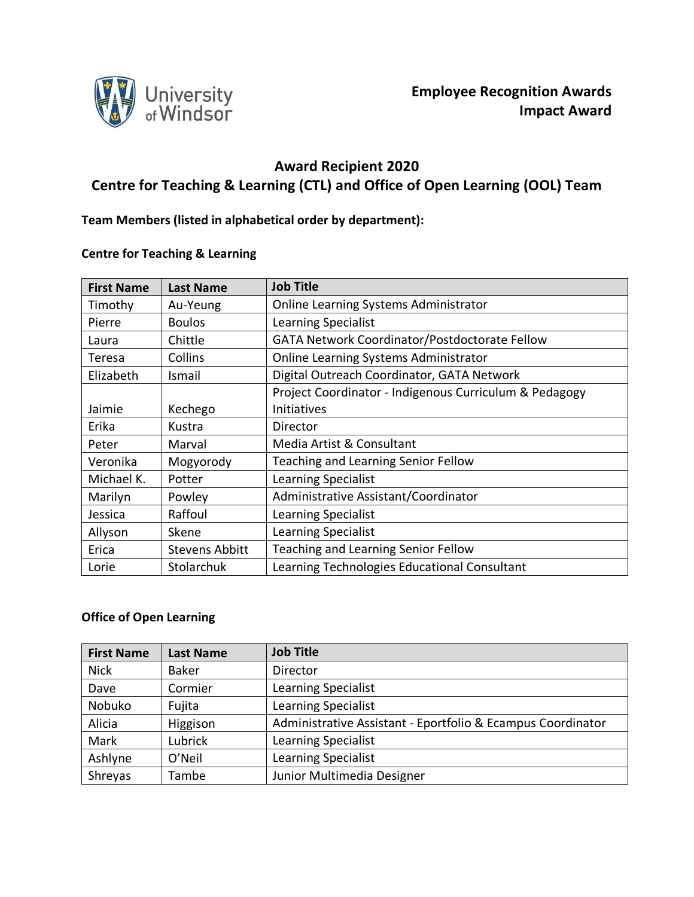

# **Award Recipient 2020 Centre for Teaching & Learning (CTL) and Office of Open Learning (OOL) Team**

**Team Members (listed in alphabetical order by department):**

## **Centre for Teaching & Learning**

| <b>First Name</b> | <b>Last Name</b>      | <b>Job Title</b>                                       |  |
|-------------------|-----------------------|--------------------------------------------------------|--|
| Timothy           | Au-Yeung              | <b>Online Learning Systems Administrator</b>           |  |
| Pierre            | <b>Boulos</b>         | Learning Specialist                                    |  |
| Laura             | Chittle               | GATA Network Coordinator/Postdoctorate Fellow          |  |
| Teresa            | Collins               | <b>Online Learning Systems Administrator</b>           |  |
| Elizabeth         | Ismail                | Digital Outreach Coordinator, GATA Network             |  |
|                   |                       | Project Coordinator - Indigenous Curriculum & Pedagogy |  |
| Jaimie            | Kechego               | Initiatives                                            |  |
| Erika             | Kustra                | Director                                               |  |
| Peter             | Marval                | Media Artist & Consultant                              |  |
| Veronika          | Mogyorody             | Teaching and Learning Senior Fellow                    |  |
| Michael K.        | Potter                | Learning Specialist                                    |  |
| Marilyn           | Powley                | Administrative Assistant/Coordinator                   |  |
| Jessica           | Raffoul               | Learning Specialist                                    |  |
| Allyson           | Skene                 | Learning Specialist                                    |  |
| Erica             | <b>Stevens Abbitt</b> | Teaching and Learning Senior Fellow                    |  |
| Lorie             | Stolarchuk            | Learning Technologies Educational Consultant           |  |

### **Office of Open Learning**

| <b>First Name</b> | <b>Last Name</b> | <b>Job Title</b>                                            |
|-------------------|------------------|-------------------------------------------------------------|
| <b>Nick</b>       | <b>Baker</b>     | <b>Director</b>                                             |
| Dave              | Cormier          | Learning Specialist                                         |
| Nobuko            | Fujita           | Learning Specialist                                         |
| Alicia            | Higgison         | Administrative Assistant - Eportfolio & Ecampus Coordinator |
| Mark              | Lubrick          | Learning Specialist                                         |
| Ashlyne           | O'Neil           | Learning Specialist                                         |
| Shreyas           | Tambe            | Junior Multimedia Designer                                  |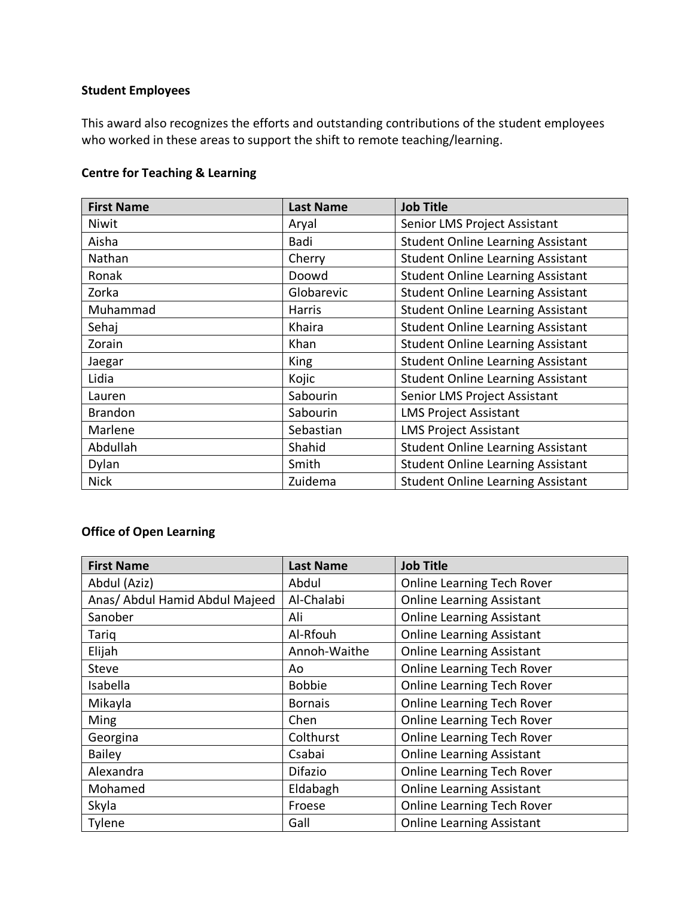# **Student Employees**

This award also recognizes the efforts and outstanding contributions of the student employees who worked in these areas to support the shift to remote teaching/learning.

### **Centre for Teaching & Learning**

| <b>First Name</b> | <b>Last Name</b> | <b>Job Title</b>                         |
|-------------------|------------------|------------------------------------------|
| Niwit             | Aryal            | Senior LMS Project Assistant             |
| Aisha             | Badi             | <b>Student Online Learning Assistant</b> |
| Nathan            | Cherry           | <b>Student Online Learning Assistant</b> |
| Ronak             | Doowd            | <b>Student Online Learning Assistant</b> |
| Zorka             | Globarevic       | <b>Student Online Learning Assistant</b> |
| Muhammad          | Harris           | <b>Student Online Learning Assistant</b> |
| Sehaj             | Khaira           | <b>Student Online Learning Assistant</b> |
| Zorain            | Khan             | <b>Student Online Learning Assistant</b> |
| Jaegar            | King             | <b>Student Online Learning Assistant</b> |
| Lidia             | Kojic            | <b>Student Online Learning Assistant</b> |
| Lauren            | Sabourin         | Senior LMS Project Assistant             |
| <b>Brandon</b>    | Sabourin         | <b>LMS Project Assistant</b>             |
| Marlene           | Sebastian        | <b>LMS Project Assistant</b>             |
| Abdullah          | Shahid           | <b>Student Online Learning Assistant</b> |
| Dylan             | Smith            | <b>Student Online Learning Assistant</b> |
| <b>Nick</b>       | Zuidema          | <b>Student Online Learning Assistant</b> |

# **Office of Open Learning**

| <b>First Name</b>              | <b>Last Name</b> | <b>Job Title</b>                  |
|--------------------------------|------------------|-----------------------------------|
| Abdul (Aziz)                   | Abdul            | <b>Online Learning Tech Rover</b> |
| Anas/ Abdul Hamid Abdul Majeed | Al-Chalabi       | <b>Online Learning Assistant</b>  |
| Sanober                        | Ali              | <b>Online Learning Assistant</b>  |
| Tariq                          | Al-Rfouh         | <b>Online Learning Assistant</b>  |
| Elijah                         | Annoh-Waithe     | <b>Online Learning Assistant</b>  |
| <b>Steve</b>                   | Ao               | <b>Online Learning Tech Rover</b> |
| Isabella                       | <b>Bobbie</b>    | <b>Online Learning Tech Rover</b> |
| Mikayla                        | <b>Bornais</b>   | <b>Online Learning Tech Rover</b> |
| Ming                           | Chen             | <b>Online Learning Tech Rover</b> |
| Georgina                       | Colthurst        | <b>Online Learning Tech Rover</b> |
| <b>Bailey</b>                  | Csabai           | <b>Online Learning Assistant</b>  |
| Alexandra                      | <b>Difazio</b>   | <b>Online Learning Tech Rover</b> |
| Mohamed                        | Eldabagh         | <b>Online Learning Assistant</b>  |
| Skyla                          | Froese           | <b>Online Learning Tech Rover</b> |
| Tylene                         | Gall             | <b>Online Learning Assistant</b>  |